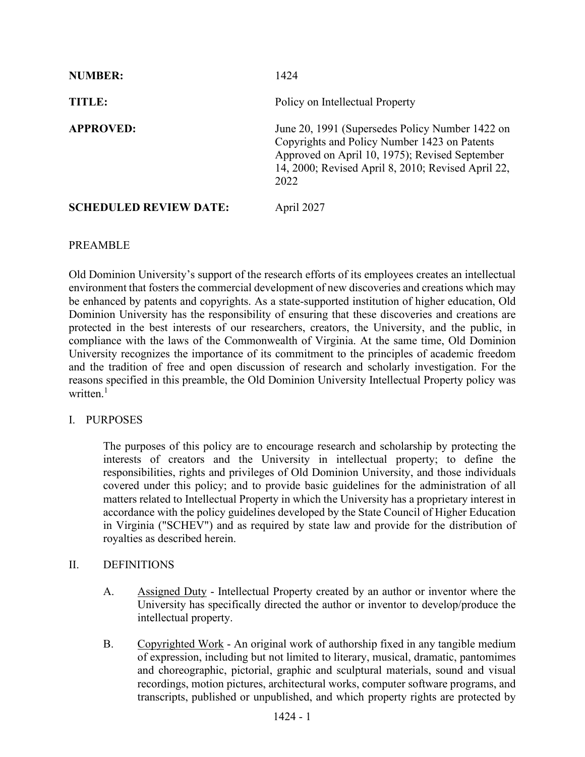| <b>NUMBER:</b>                | 1424                                                                                                                                                                                                            |
|-------------------------------|-----------------------------------------------------------------------------------------------------------------------------------------------------------------------------------------------------------------|
| <b>TITLE:</b>                 | Policy on Intellectual Property                                                                                                                                                                                 |
| <b>APPROVED:</b>              | June 20, 1991 (Supersedes Policy Number 1422 on<br>Copyrights and Policy Number 1423 on Patents<br>Approved on April 10, 1975); Revised September<br>14, 2000; Revised April 8, 2010; Revised April 22,<br>2022 |
| <b>SCHEDULED REVIEW DATE:</b> | April 2027                                                                                                                                                                                                      |

# PREAMBLE

Old Dominion University's support of the research efforts of its employees creates an intellectual environment that fosters the commercial development of new discoveries and creations which may be enhanced by patents and copyrights. As a state-supported institution of higher education, Old Dominion University has the responsibility of ensuring that these discoveries and creations are protected in the best interests of our researchers, creators, the University, and the public, in compliance with the laws of the Commonwealth of Virginia. At the same time, Old Dominion University recognizes the importance of its commitment to the principles of academic freedom and the tradition of free and open discussion of research and scholarly investigation. For the reasons specified in this preamble, the Old Dominion University Intellectual Property policy was written.<sup>1</sup>

# I. PURPOSES

The purposes of this policy are to encourage research and scholarship by protecting the interests of creators and the University in intellectual property; to define the responsibilities, rights and privileges of Old Dominion University, and those individuals covered under this policy; and to provide basic guidelines for the administration of all matters related to Intellectual Property in which the University has a proprietary interest in accordance with the policy guidelines developed by the State Council of Higher Education in Virginia ("SCHEV") and as required by state law and provide for the distribution of royalties as described herein.

# II. DEFINITIONS

- A. Assigned Duty Intellectual Property created by an author or inventor where the University has specifically directed the author or inventor to develop/produce the intellectual property.
- B. Copyrighted Work An original work of authorship fixed in any tangible medium of expression, including but not limited to literary, musical, dramatic, pantomimes and choreographic, pictorial, graphic and sculptural materials, sound and visual recordings, motion pictures, architectural works, computer software programs, and transcripts, published or unpublished, and which property rights are protected by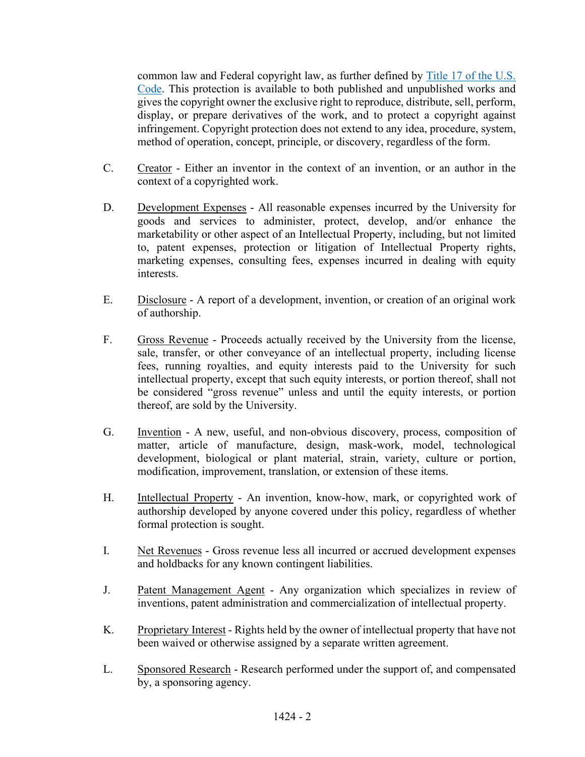common law and Federal copyright law, as further defined by [Title 17 of the U.S.](https://www.copyright.gov/title17/)  [Code.](https://www.copyright.gov/title17/) This protection is available to both published and unpublished works and gives the copyright owner the exclusive right to reproduce, distribute, sell, perform, display, or prepare derivatives of the work, and to protect a copyright against infringement. Copyright protection does not extend to any idea, procedure, system, method of operation, concept, principle, or discovery, regardless of the form.

- C. Creator Either an inventor in the context of an invention, or an author in the context of a copyrighted work.
- D. Development Expenses All reasonable expenses incurred by the University for goods and services to administer, protect, develop, and/or enhance the marketability or other aspect of an Intellectual Property, including, but not limited to, patent expenses, protection or litigation of Intellectual Property rights, marketing expenses, consulting fees, expenses incurred in dealing with equity interests.
- E. Disclosure A report of a development, invention, or creation of an original work of authorship.
- F. Gross Revenue Proceeds actually received by the University from the license, sale, transfer, or other conveyance of an intellectual property, including license fees, running royalties, and equity interests paid to the University for such intellectual property, except that such equity interests, or portion thereof, shall not be considered "gross revenue" unless and until the equity interests, or portion thereof, are sold by the University.
- G. Invention A new, useful, and non-obvious discovery, process, composition of matter, article of manufacture, design, mask-work, model, technological development, biological or plant material, strain, variety, culture or portion, modification, improvement, translation, or extension of these items.
- H. Intellectual Property An invention, know-how, mark, or copyrighted work of authorship developed by anyone covered under this policy, regardless of whether formal protection is sought.
- I. Net Revenues Gross revenue less all incurred or accrued development expenses and holdbacks for any known contingent liabilities.
- J. Patent Management Agent Any organization which specializes in review of inventions, patent administration and commercialization of intellectual property.
- K. Proprietary Interest Rights held by the owner of intellectual property that have not been waived or otherwise assigned by a separate written agreement.
- L. Sponsored Research Research performed under the support of, and compensated by, a sponsoring agency.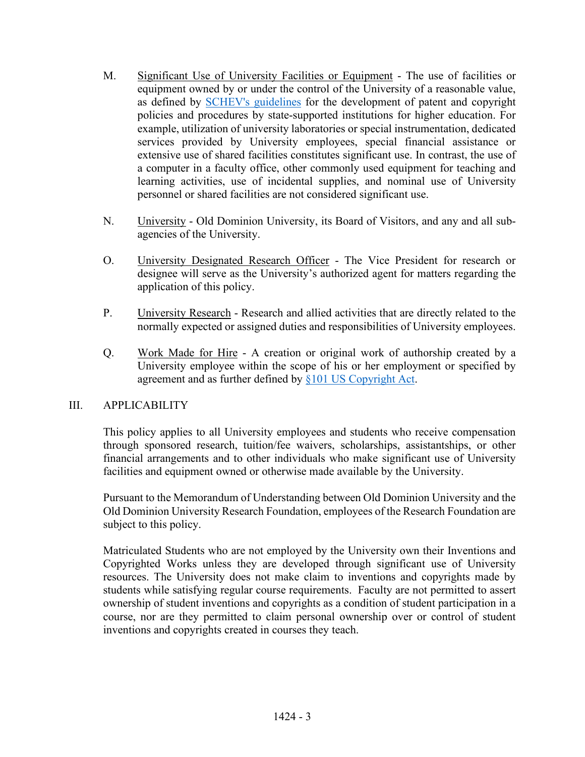- M. Significant Use of University Facilities or Equipment The use of facilities or equipment owned by or under the control of the University of a reasonable value, as defined by [SCHEV's guidelines](https://www.google.com/url?sa=t&rct=j&q=&esrc=s&source=web&cd=&cad=rja&uact=8&ved=2ahUKEwjMsLPepv_1AhXkmeAKHdtaBD8QFnoECAgQAQ&url=https%3A%2F%2Fgo.boarddocs.com%2Fva%2Fvccs%2FBoard.nsf%2Fgoto%3Fopen%26id%3D9P3PZG65FAB7&usg=AOvVaw1mIYmPDJuEhTA4SVivqGqj) for the development of patent and copyright policies and procedures by state-supported institutions for higher education. For example, utilization of university laboratories or special instrumentation, dedicated services provided by University employees, special financial assistance or extensive use of shared facilities constitutes significant use. In contrast, the use of a computer in a faculty office, other commonly used equipment for teaching and learning activities, use of incidental supplies, and nominal use of University personnel or shared facilities are not considered significant use.
- N. University Old Dominion University, its Board of Visitors, and any and all subagencies of the University.
- O. University Designated Research Officer The Vice President for research or designee will serve as the University's authorized agent for matters regarding the application of this policy.
- P. University Research Research and allied activities that are directly related to the normally expected or assigned duties and responsibilities of University employees.
- Q. Work Made for Hire A creation or original work of authorship created by a University employee within the scope of his or her employment or specified by agreement and as further defined by [§101 US Copyright Act.](https://www.govinfo.gov/content/pkg/USCODE-2011-title17/pdf/USCODE-2011-title17-chap1-sec101.pdf)

# III. APPLICABILITY

This policy applies to all University employees and students who receive compensation through sponsored research, tuition/fee waivers, scholarships, assistantships, or other financial arrangements and to other individuals who make significant use of University facilities and equipment owned or otherwise made available by the University.

Pursuant to the Memorandum of Understanding between Old Dominion University and the Old Dominion University Research Foundation, employees of the Research Foundation are subject to this policy.

 Matriculated Students who are not employed by the University own their Inventions and Copyrighted Works unless they are developed through significant use of University resources. The University does not make claim to inventions and copyrights made by students while satisfying regular course requirements. Faculty are not permitted to assert ownership of student inventions and copyrights as a condition of student participation in a course, nor are they permitted to claim personal ownership over or control of student inventions and copyrights created in courses they teach.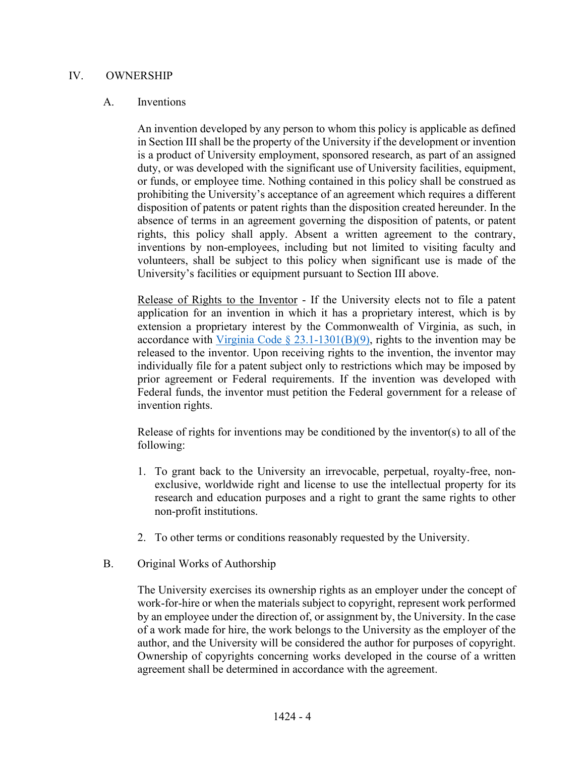### IV. OWNERSHIP

#### A. Inventions

An invention developed by any person to whom this policy is applicable as defined in Section III shall be the property of the University if the development or invention is a product of University employment, sponsored research, as part of an assigned duty, or was developed with the significant use of University facilities, equipment, or funds, or employee time. Nothing contained in this policy shall be construed as prohibiting the University's acceptance of an agreement which requires a different disposition of patents or patent rights than the disposition created hereunder. In the absence of terms in an agreement governing the disposition of patents, or patent rights, this policy shall apply. Absent a written agreement to the contrary, inventions by non-employees, including but not limited to visiting faculty and volunteers, shall be subject to this policy when significant use is made of the University's facilities or equipment pursuant to Section III above.

Release of Rights to the Inventor - If the University elects not to file a patent application for an invention in which it has a proprietary interest, which is by extension a proprietary interest by the Commonwealth of Virginia, as such, in accordance with Virginia Code  $\S$  23.1-1301(B)(9), rights to the invention may be released to the inventor. Upon receiving rights to the invention, the inventor may individually file for a patent subject only to restrictions which may be imposed by prior agreement or Federal requirements. If the invention was developed with Federal funds, the inventor must petition the Federal government for a release of invention rights.

Release of rights for inventions may be conditioned by the inventor(s) to all of the following:

- 1. To grant back to the University an irrevocable, perpetual, royalty-free, nonexclusive, worldwide right and license to use the intellectual property for its research and education purposes and a right to grant the same rights to other non-profit institutions.
- 2. To other terms or conditions reasonably requested by the University.
- B. Original Works of Authorship

The University exercises its ownership rights as an employer under the concept of work-for-hire or when the materials subject to copyright, represent work performed by an employee under the direction of, or assignment by, the University. In the case of a work made for hire, the work belongs to the University as the employer of the author, and the University will be considered the author for purposes of copyright. Ownership of copyrights concerning works developed in the course of a written agreement shall be determined in accordance with the agreement.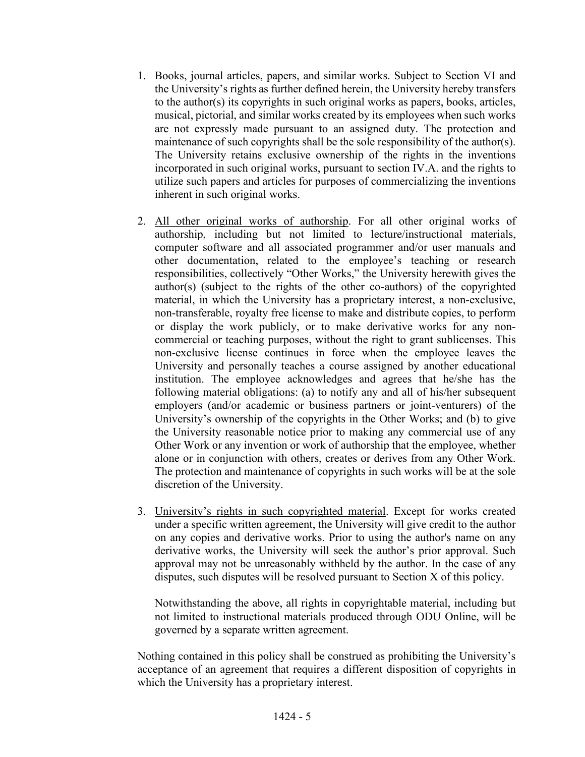- 1. Books, journal articles, papers, and similar works. Subject to Section VI and the University's rights as further defined herein, the University hereby transfers to the author(s) its copyrights in such original works as papers, books, articles, musical, pictorial, and similar works created by its employees when such works are not expressly made pursuant to an assigned duty. The protection and maintenance of such copyrights shall be the sole responsibility of the author(s). The University retains exclusive ownership of the rights in the inventions incorporated in such original works, pursuant to section IV.A. and the rights to utilize such papers and articles for purposes of commercializing the inventions inherent in such original works.
- 2. All other original works of authorship. For all other original works of authorship, including but not limited to lecture/instructional materials, computer software and all associated programmer and/or user manuals and other documentation, related to the employee's teaching or research responsibilities, collectively "Other Works," the University herewith gives the author(s) (subject to the rights of the other co-authors) of the copyrighted material, in which the University has a proprietary interest, a non-exclusive, non-transferable, royalty free license to make and distribute copies, to perform or display the work publicly, or to make derivative works for any noncommercial or teaching purposes, without the right to grant sublicenses. This non-exclusive license continues in force when the employee leaves the University and personally teaches a course assigned by another educational institution. The employee acknowledges and agrees that he/she has the following material obligations: (a) to notify any and all of his/her subsequent employers (and/or academic or business partners or joint-venturers) of the University's ownership of the copyrights in the Other Works; and (b) to give the University reasonable notice prior to making any commercial use of any Other Work or any invention or work of authorship that the employee, whether alone or in conjunction with others, creates or derives from any Other Work. The protection and maintenance of copyrights in such works will be at the sole discretion of the University.
- 3. University's rights in such copyrighted material. Except for works created under a specific written agreement, the University will give credit to the author on any copies and derivative works. Prior to using the author's name on any derivative works, the University will seek the author's prior approval. Such approval may not be unreasonably withheld by the author. In the case of any disputes, such disputes will be resolved pursuant to Section X of this policy.

Notwithstanding the above, all rights in copyrightable material, including but not limited to instructional materials produced through ODU Online, will be governed by a separate written agreement.

Nothing contained in this policy shall be construed as prohibiting the University's acceptance of an agreement that requires a different disposition of copyrights in which the University has a proprietary interest.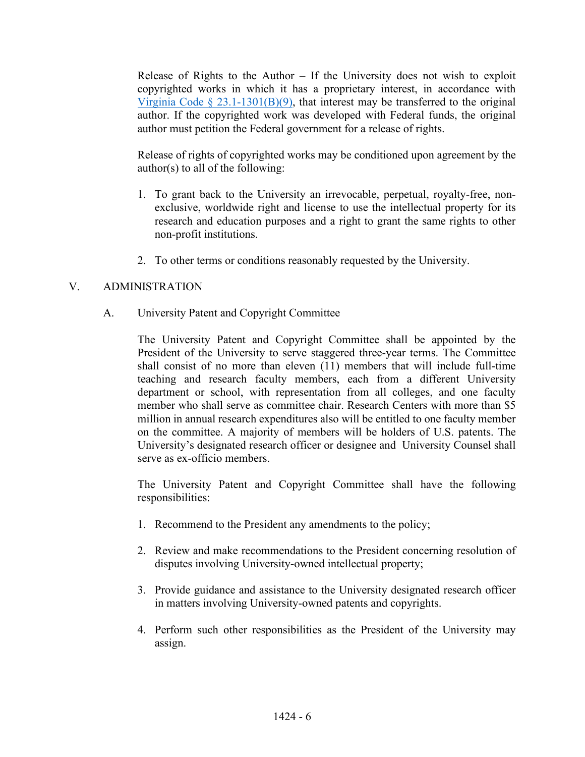Release of Rights to the Author  $-$  If the University does not wish to exploit copyrighted works in which it has a proprietary interest, in accordance with Virginia Code  $\S 23.1-1301(B)(9)$ , that interest may be transferred to the original author. If the copyrighted work was developed with Federal funds, the original author must petition the Federal government for a release of rights.

 Release of rights of copyrighted works may be conditioned upon agreement by the author(s) to all of the following:

- 1. To grant back to the University an irrevocable, perpetual, royalty-free, nonexclusive, worldwide right and license to use the intellectual property for its research and education purposes and a right to grant the same rights to other non-profit institutions.
- 2. To other terms or conditions reasonably requested by the University.

# V. ADMINISTRATION

A. University Patent and Copyright Committee

The University Patent and Copyright Committee shall be appointed by the President of the University to serve staggered three-year terms. The Committee shall consist of no more than eleven (11) members that will include full-time teaching and research faculty members, each from a different University department or school, with representation from all colleges, and one faculty member who shall serve as committee chair. Research Centers with more than \$5 million in annual research expenditures also will be entitled to one faculty member on the committee. A majority of members will be holders of U.S. patents. The University's designated research officer or designee and University Counsel shall serve as ex-officio members.

The University Patent and Copyright Committee shall have the following responsibilities:

- 1. Recommend to the President any amendments to the policy;
- 2. Review and make recommendations to the President concerning resolution of disputes involving University-owned intellectual property;
- 3. Provide guidance and assistance to the University designated research officer in matters involving University-owned patents and copyrights.
- 4. Perform such other responsibilities as the President of the University may assign.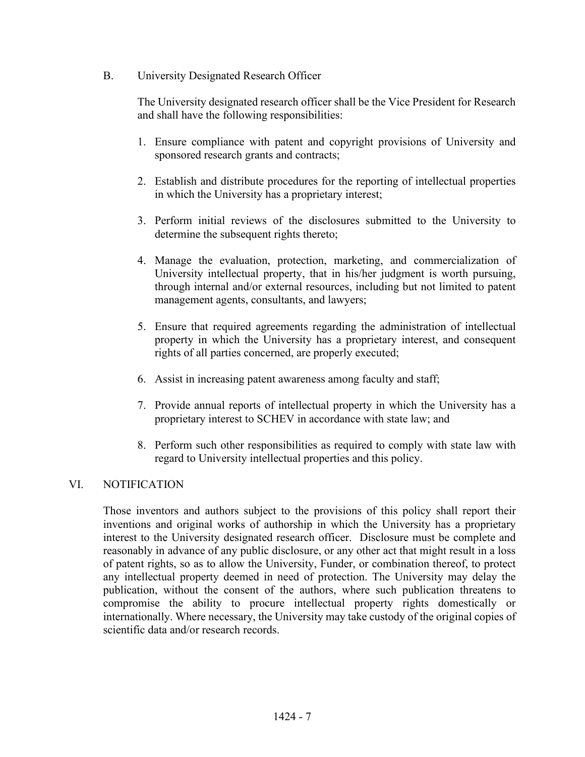B. University Designated Research Officer

The University designated research officer shall be the Vice President for Research and shall have the following responsibilities:

- 1. Ensure compliance with patent and copyright provisions of University and sponsored research grants and contracts;
- 2. Establish and distribute procedures for the reporting of intellectual properties in which the University has a proprietary interest;
- 3. Perform initial reviews of the disclosures submitted to the University to determine the subsequent rights thereto;
- 4. Manage the evaluation, protection, marketing, and commercialization of University intellectual property, that in his/her judgment is worth pursuing, through internal and/or external resources, including but not limited to patent management agents, consultants, and lawyers;
- 5. Ensure that required agreements regarding the administration of intellectual property in which the University has a proprietary interest, and consequent rights of all parties concerned, are properly executed;
- 6. Assist in increasing patent awareness among faculty and staff;
- 7. Provide annual reports of intellectual property in which the University has a proprietary interest to SCHEV in accordance with state law; and
- 8. Perform such other responsibilities as required to comply with state law with regard to University intellectual properties and this policy.

# VI. NOTIFICATION

Those inventors and authors subject to the provisions of this policy shall report their inventions and original works of authorship in which the University has a proprietary interest to the University designated research officer. Disclosure must be complete and reasonably in advance of any public disclosure, or any other act that might result in a loss of patent rights, so as to allow the University, Funder, or combination thereof, to protect any intellectual property deemed in need of protection. The University may delay the publication, without the consent of the authors, where such publication threatens to compromise the ability to procure intellectual property rights domestically or internationally. Where necessary, the University may take custody of the original copies of scientific data and/or research records.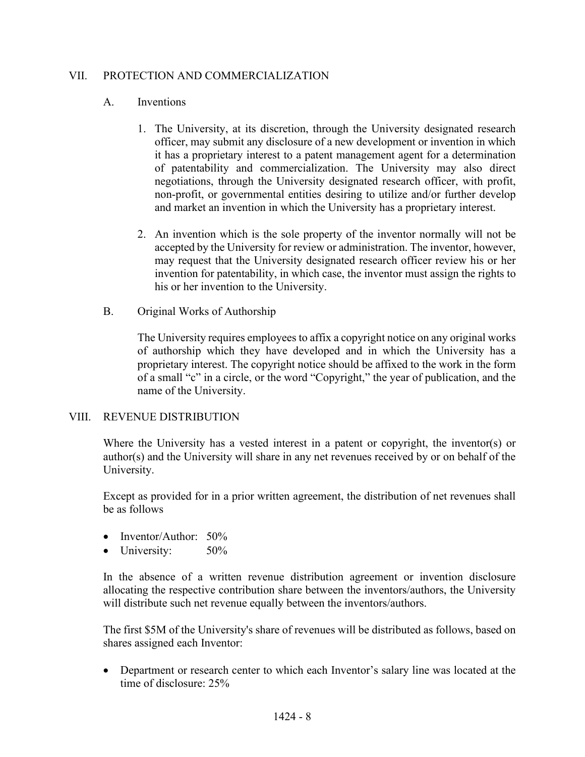# VII. PROTECTION AND COMMERCIALIZATION

# A. Inventions

- 1. The University, at its discretion, through the University designated research officer, may submit any disclosure of a new development or invention in which it has a proprietary interest to a patent management agent for a determination of patentability and commercialization. The University may also direct negotiations, through the University designated research officer, with profit, non-profit, or governmental entities desiring to utilize and/or further develop and market an invention in which the University has a proprietary interest.
- 2. An invention which is the sole property of the inventor normally will not be accepted by the University for review or administration. The inventor, however, may request that the University designated research officer review his or her invention for patentability, in which case, the inventor must assign the rights to his or her invention to the University.
- B. Original Works of Authorship

The University requires employees to affix a copyright notice on any original works of authorship which they have developed and in which the University has a proprietary interest. The copyright notice should be affixed to the work in the form of a small "c" in a circle, or the word "Copyright," the year of publication, and the name of the University.

# VIII. REVENUE DISTRIBUTION

Where the University has a vested interest in a patent or copyright, the inventor(s) or author(s) and the University will share in any net revenues received by or on behalf of the University.

Except as provided for in a prior written agreement, the distribution of net revenues shall be as follows

- Inventor/Author: 50%
- University: 50%

In the absence of a written revenue distribution agreement or invention disclosure allocating the respective contribution share between the inventors/authors, the University will distribute such net revenue equally between the inventors/authors.

The first \$5M of the University's share of revenues will be distributed as follows, based on shares assigned each Inventor:

• Department or research center to which each Inventor's salary line was located at the time of disclosure: 25%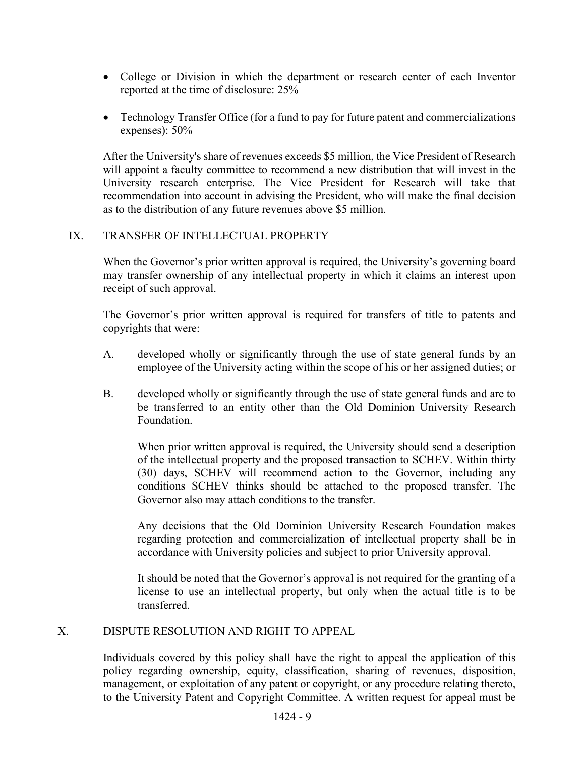- College or Division in which the department or research center of each Inventor reported at the time of disclosure: 25%
- Technology Transfer Office (for a fund to pay for future patent and commercializations expenses): 50%

After the University's share of revenues exceeds \$5 million, the Vice President of Research will appoint a faculty committee to recommend a new distribution that will invest in the University research enterprise. The Vice President for Research will take that recommendation into account in advising the President, who will make the final decision as to the distribution of any future revenues above \$5 million.

# IX. TRANSFER OF INTELLECTUAL PROPERTY

When the Governor's prior written approval is required, the University's governing board may transfer ownership of any intellectual property in which it claims an interest upon receipt of such approval.

The Governor's prior written approval is required for transfers of title to patents and copyrights that were:

- A. developed wholly or significantly through the use of state general funds by an employee of the University acting within the scope of his or her assigned duties; or
- B. developed wholly or significantly through the use of state general funds and are to be transferred to an entity other than the Old Dominion University Research Foundation.

When prior written approval is required, the University should send a description of the intellectual property and the proposed transaction to SCHEV. Within thirty (30) days, SCHEV will recommend action to the Governor, including any conditions SCHEV thinks should be attached to the proposed transfer. The Governor also may attach conditions to the transfer.

Any decisions that the Old Dominion University Research Foundation makes regarding protection and commercialization of intellectual property shall be in accordance with University policies and subject to prior University approval.

It should be noted that the Governor's approval is not required for the granting of a license to use an intellectual property, but only when the actual title is to be transferred.

# X. DISPUTE RESOLUTION AND RIGHT TO APPEAL

Individuals covered by this policy shall have the right to appeal the application of this policy regarding ownership, equity, classification, sharing of revenues, disposition, management, or exploitation of any patent or copyright, or any procedure relating thereto, to the University Patent and Copyright Committee. A written request for appeal must be